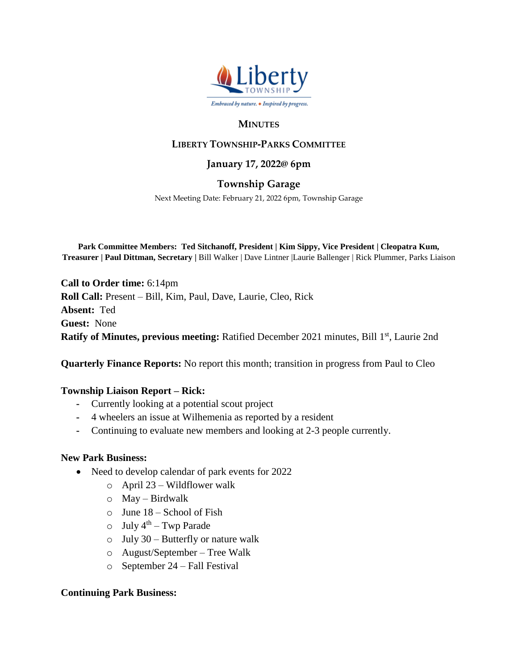

### **MINUTES**

# **LIBERTY TOWNSHIP-PARKS COMMITTEE**

### **January 17, 2022@ 6pm**

## **Township Garage**

Next Meeting Date: February 21, 2022 6pm, Township Garage

**Park Committee Members: Ted Sitchanoff, President | Kim Sippy, Vice President | Cleopatra Kum, Treasurer | Paul Dittman, Secretary |** Bill Walker | Dave Lintner |Laurie Ballenger | Rick Plummer, Parks Liaison

**Call to Order time:** 6:14pm **Roll Call:** Present – Bill, Kim, Paul, Dave, Laurie, Cleo, Rick **Absent:** Ted **Guest:** None Ratify of Minutes, previous meeting: Ratified December 2021 minutes, Bill 1<sup>st</sup>, Laurie 2nd

**Quarterly Finance Reports:** No report this month; transition in progress from Paul to Cleo

### **Township Liaison Report – Rick:**

- **-** Currently looking at a potential scout project
- **-** 4 wheelers an issue at Wilhemenia as reported by a resident
- **-** Continuing to evaluate new members and looking at 2-3 people currently.

### **New Park Business:**

- Need to develop calendar of park events for 2022
	- o April 23 Wildflower walk
	- $\circ$  May Birdwalk
	- $\circ$  June 18 School of Fish
	- $\circ$  July 4<sup>th</sup> Twp Parade
	- $\circ$  July 30 Butterfly or nature walk
	- o August/September Tree Walk
	- o September 24 Fall Festival

### **Continuing Park Business:**